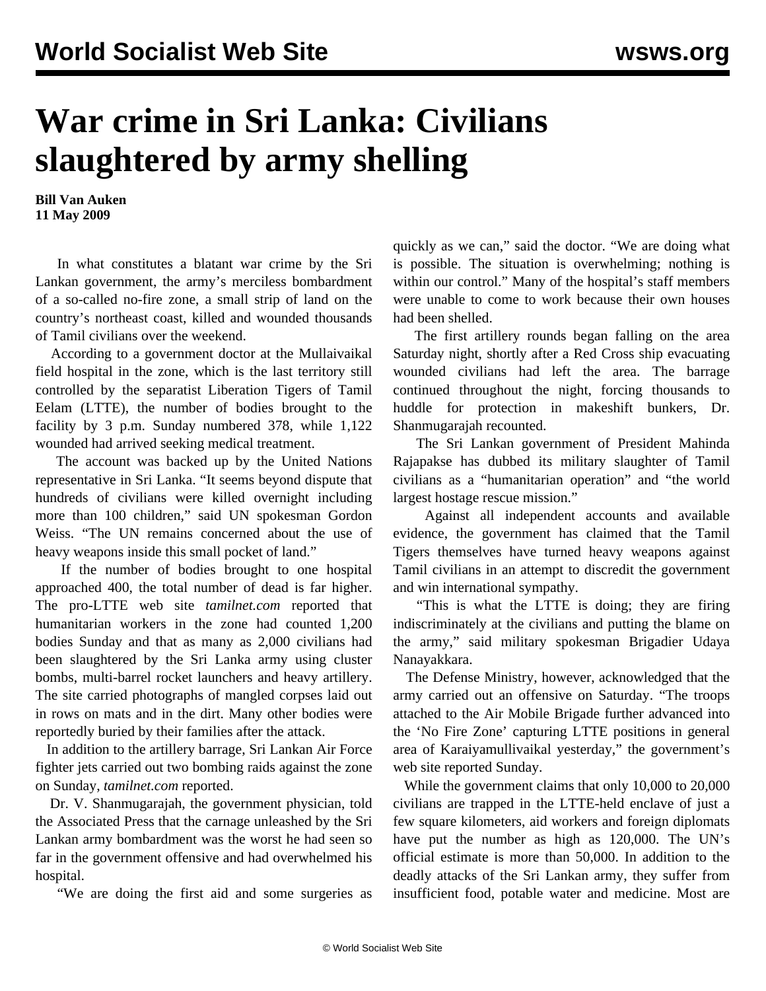## **War crime in Sri Lanka: Civilians slaughtered by army shelling**

**Bill Van Auken 11 May 2009**

 In what constitutes a blatant war crime by the Sri Lankan government, the army's merciless bombardment of a so-called no-fire zone, a small strip of land on the country's northeast coast, killed and wounded thousands of Tamil civilians over the weekend.

 According to a government doctor at the Mullaivaikal field hospital in the zone, which is the last territory still controlled by the separatist Liberation Tigers of Tamil Eelam (LTTE), the number of bodies brought to the facility by 3 p.m. Sunday numbered 378, while 1,122 wounded had arrived seeking medical treatment.

 The account was backed up by the United Nations representative in Sri Lanka. "It seems beyond dispute that hundreds of civilians were killed overnight including more than 100 children," said UN spokesman Gordon Weiss. "The UN remains concerned about the use of heavy weapons inside this small pocket of land."

 If the number of bodies brought to one hospital approached 400, the total number of dead is far higher. The pro-LTTE web site *tamilnet.com* reported that humanitarian workers in the zone had counted 1,200 bodies Sunday and that as many as 2,000 civilians had been slaughtered by the Sri Lanka army using cluster bombs, multi-barrel rocket launchers and heavy artillery. The site carried photographs of mangled corpses laid out in rows on mats and in the dirt. Many other bodies were reportedly buried by their families after the attack.

 In addition to the artillery barrage, Sri Lankan Air Force fighter jets carried out two bombing raids against the zone on Sunday, *tamilnet.com* reported.

 Dr. V. Shanmugarajah, the government physician, told the Associated Press that the carnage unleashed by the Sri Lankan army bombardment was the worst he had seen so far in the government offensive and had overwhelmed his hospital.

"We are doing the first aid and some surgeries as

quickly as we can," said the doctor. "We are doing what is possible. The situation is overwhelming; nothing is within our control." Many of the hospital's staff members were unable to come to work because their own houses had been shelled.

 The first artillery rounds began falling on the area Saturday night, shortly after a Red Cross ship evacuating wounded civilians had left the area. The barrage continued throughout the night, forcing thousands to huddle for protection in makeshift bunkers, Dr. Shanmugarajah recounted.

 The Sri Lankan government of President Mahinda Rajapakse has dubbed its military slaughter of Tamil civilians as a "humanitarian operation" and "the world largest hostage rescue mission."

 Against all independent accounts and available evidence, the government has claimed that the Tamil Tigers themselves have turned heavy weapons against Tamil civilians in an attempt to discredit the government and win international sympathy.

 "This is what the LTTE is doing; they are firing indiscriminately at the civilians and putting the blame on the army," said military spokesman Brigadier Udaya Nanayakkara.

 The Defense Ministry, however, acknowledged that the army carried out an offensive on Saturday. "The troops attached to the Air Mobile Brigade further advanced into the 'No Fire Zone' capturing LTTE positions in general area of Karaiyamullivaikal yesterday," the government's web site reported Sunday.

 While the government claims that only 10,000 to 20,000 civilians are trapped in the LTTE-held enclave of just a few square kilometers, aid workers and foreign diplomats have put the number as high as 120,000. The UN's official estimate is more than 50,000. In addition to the deadly attacks of the Sri Lankan army, they suffer from insufficient food, potable water and medicine. Most are